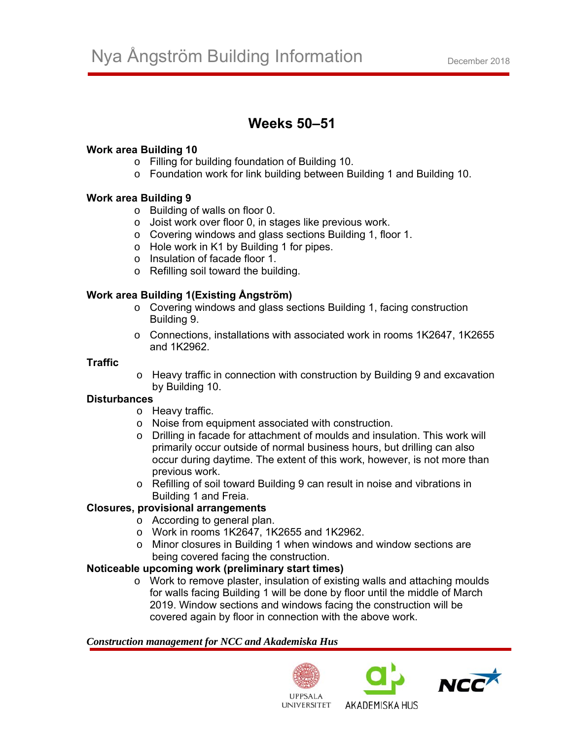# **Weeks 50–51**

# **Work area Building 10**

- o Filling for building foundation of Building 10.
- o Foundation work for link building between Building 1 and Building 10.

## **Work area Building 9**

- o Building of walls on floor 0.
- o Joist work over floor 0, in stages like previous work.
- o Covering windows and glass sections Building 1, floor 1.
- o Hole work in K1 by Building 1 for pipes.
- o Insulation of facade floor 1.
- o Refilling soil toward the building.

# **Work area Building 1(Existing Ångström)**

- o Covering windows and glass sections Building 1, facing construction Building 9.
- o Connections, installations with associated work in rooms 1K2647, 1K2655 and 1K2962.

#### **Traffic**

o Heavy traffic in connection with construction by Building 9 and excavation by Building 10.

## **Disturbances**

- o Heavy traffic.
- o Noise from equipment associated with construction.
- o Drilling in facade for attachment of moulds and insulation. This work will primarily occur outside of normal business hours, but drilling can also occur during daytime. The extent of this work, however, is not more than previous work.
- o Refilling of soil toward Building 9 can result in noise and vibrations in Building 1 and Freia.

# **Closures, provisional arrangements**

- o According to general plan.
- o Work in rooms 1K2647, 1K2655 and 1K2962.
- o Minor closures in Building 1 when windows and window sections are being covered facing the construction.

## **Noticeable upcoming work (preliminary start times)**

o Work to remove plaster, insulation of existing walls and attaching moulds for walls facing Building 1 will be done by floor until the middle of March 2019. Window sections and windows facing the construction will be covered again by floor in connection with the above work.

## *Construction management for NCC and Akademiska Hus*





AKADEMISKA HUS